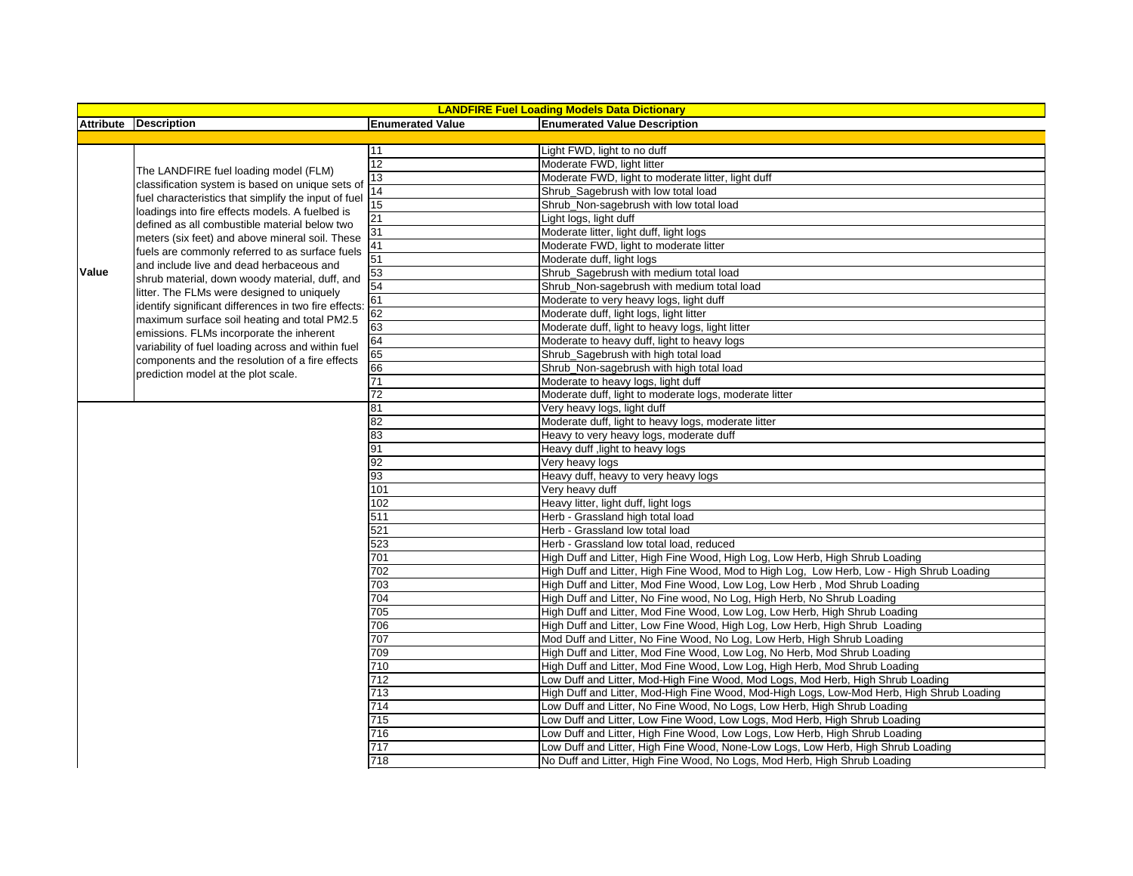|       | <b>LANDFIRE Fuel Loading Models Data Dictionary</b>                                                                                                                                                                                                                                                                                                     |                         |                                                                                           |  |  |  |
|-------|---------------------------------------------------------------------------------------------------------------------------------------------------------------------------------------------------------------------------------------------------------------------------------------------------------------------------------------------------------|-------------------------|-------------------------------------------------------------------------------------------|--|--|--|
|       | Attribute Description                                                                                                                                                                                                                                                                                                                                   | <b>Enumerated Value</b> | <b>Enumerated Value Description</b>                                                       |  |  |  |
|       |                                                                                                                                                                                                                                                                                                                                                         |                         |                                                                                           |  |  |  |
|       |                                                                                                                                                                                                                                                                                                                                                         | 11                      | Light FWD, light to no duff                                                               |  |  |  |
|       | The LANDFIRE fuel loading model (FLM)                                                                                                                                                                                                                                                                                                                   | 12                      | Moderate FWD, light litter                                                                |  |  |  |
|       |                                                                                                                                                                                                                                                                                                                                                         | 13                      | Moderate FWD, light to moderate litter, light duff                                        |  |  |  |
|       | classification system is based on unique sets of                                                                                                                                                                                                                                                                                                        | $\overline{14}$         | Shrub_Sagebrush with low total load                                                       |  |  |  |
|       | fuel characteristics that simplify the input of fuel                                                                                                                                                                                                                                                                                                    | $\overline{15}$         | Shrub_Non-sagebrush with low total load                                                   |  |  |  |
|       | loadings into fire effects models. A fuelbed is                                                                                                                                                                                                                                                                                                         | 21                      | Light logs, light duff                                                                    |  |  |  |
|       | defined as all combustible material below two                                                                                                                                                                                                                                                                                                           | 31                      | Moderate litter, light duff, light logs                                                   |  |  |  |
|       | meters (six feet) and above mineral soil. These<br>fuels are commonly referred to as surface fuels<br>and include live and dead herbaceous and<br>shrub material, down woody material, duff, and<br>litter. The FLMs were designed to uniquely<br>identify significant differences in two fire effects:<br>maximum surface soil heating and total PM2.5 | 41                      | Moderate FWD, light to moderate litter                                                    |  |  |  |
|       |                                                                                                                                                                                                                                                                                                                                                         | 51                      | Moderate duff, light logs                                                                 |  |  |  |
| Value |                                                                                                                                                                                                                                                                                                                                                         | 53                      | Shrub_Sagebrush with medium total load                                                    |  |  |  |
|       |                                                                                                                                                                                                                                                                                                                                                         | 54                      | Shrub Non-sagebrush with medium total load                                                |  |  |  |
|       |                                                                                                                                                                                                                                                                                                                                                         | 61                      | Moderate to very heavy logs, light duff                                                   |  |  |  |
|       |                                                                                                                                                                                                                                                                                                                                                         | 62                      | Moderate duff, light logs, light litter                                                   |  |  |  |
|       |                                                                                                                                                                                                                                                                                                                                                         | 63                      | Moderate duff, light to heavy logs, light litter                                          |  |  |  |
|       | emissions. FLMs incorporate the inherent                                                                                                                                                                                                                                                                                                                | 64                      | Moderate to heavy duff, light to heavy logs                                               |  |  |  |
|       | variability of fuel loading across and within fuel                                                                                                                                                                                                                                                                                                      | 65                      | Shrub_Sagebrush with high total load                                                      |  |  |  |
|       | components and the resolution of a fire effects                                                                                                                                                                                                                                                                                                         | 66                      | Shrub_Non-sagebrush with high total load                                                  |  |  |  |
|       | prediction model at the plot scale.                                                                                                                                                                                                                                                                                                                     | 71                      | Moderate to heavy logs, light duff                                                        |  |  |  |
|       |                                                                                                                                                                                                                                                                                                                                                         | 72                      | Moderate duff, light to moderate logs, moderate litter                                    |  |  |  |
|       |                                                                                                                                                                                                                                                                                                                                                         | 81                      | Very heavy logs, light duff                                                               |  |  |  |
|       |                                                                                                                                                                                                                                                                                                                                                         | 82                      | Moderate duff, light to heavy logs, moderate litter                                       |  |  |  |
|       |                                                                                                                                                                                                                                                                                                                                                         | 83                      | Heavy to very heavy logs, moderate duff                                                   |  |  |  |
|       |                                                                                                                                                                                                                                                                                                                                                         | 91                      | Heavy duff, light to heavy logs                                                           |  |  |  |
|       |                                                                                                                                                                                                                                                                                                                                                         | 92                      | Very heavy logs                                                                           |  |  |  |
|       |                                                                                                                                                                                                                                                                                                                                                         | 93                      | Heavy duff, heavy to very heavy logs                                                      |  |  |  |
|       |                                                                                                                                                                                                                                                                                                                                                         | 101                     | Very heavy duff                                                                           |  |  |  |
|       |                                                                                                                                                                                                                                                                                                                                                         | 102                     | Heavy litter, light duff, light logs                                                      |  |  |  |
|       |                                                                                                                                                                                                                                                                                                                                                         | 511                     | Herb - Grassland high total load                                                          |  |  |  |
|       |                                                                                                                                                                                                                                                                                                                                                         | 521                     | Herb - Grassland low total load                                                           |  |  |  |
|       |                                                                                                                                                                                                                                                                                                                                                         | 523                     | Herb - Grassland low total load, reduced                                                  |  |  |  |
|       |                                                                                                                                                                                                                                                                                                                                                         | 701                     | High Duff and Litter, High Fine Wood, High Log, Low Herb, High Shrub Loading              |  |  |  |
|       |                                                                                                                                                                                                                                                                                                                                                         | 702                     | High Duff and Litter, High Fine Wood, Mod to High Log, Low Herb, Low - High Shrub Loading |  |  |  |
|       |                                                                                                                                                                                                                                                                                                                                                         | 703                     | High Duff and Litter, Mod Fine Wood, Low Log, Low Herb, Mod Shrub Loading                 |  |  |  |
|       |                                                                                                                                                                                                                                                                                                                                                         | 704                     | High Duff and Litter, No Fine wood, No Log, High Herb, No Shrub Loading                   |  |  |  |
|       |                                                                                                                                                                                                                                                                                                                                                         | 705                     | High Duff and Litter, Mod Fine Wood, Low Log, Low Herb, High Shrub Loading                |  |  |  |
|       |                                                                                                                                                                                                                                                                                                                                                         | 706                     | High Duff and Litter, Low Fine Wood, High Log, Low Herb, High Shrub Loading               |  |  |  |
|       |                                                                                                                                                                                                                                                                                                                                                         | 707                     | Mod Duff and Litter, No Fine Wood, No Log, Low Herb, High Shrub Loading                   |  |  |  |
|       |                                                                                                                                                                                                                                                                                                                                                         | 709                     | High Duff and Litter, Mod Fine Wood, Low Log, No Herb, Mod Shrub Loading                  |  |  |  |
|       |                                                                                                                                                                                                                                                                                                                                                         | 710                     | High Duff and Litter, Mod Fine Wood, Low Log, High Herb, Mod Shrub Loading                |  |  |  |
|       |                                                                                                                                                                                                                                                                                                                                                         | 712                     | Low Duff and Litter, Mod-High Fine Wood, Mod Logs, Mod Herb, High Shrub Loading           |  |  |  |
|       |                                                                                                                                                                                                                                                                                                                                                         | 713                     | High Duff and Litter, Mod-High Fine Wood, Mod-High Logs, Low-Mod Herb, High Shrub Loading |  |  |  |
|       |                                                                                                                                                                                                                                                                                                                                                         | 714                     | Low Duff and Litter, No Fine Wood, No Logs, Low Herb, High Shrub Loading                  |  |  |  |
|       |                                                                                                                                                                                                                                                                                                                                                         | 715                     | Low Duff and Litter, Low Fine Wood, Low Logs, Mod Herb, High Shrub Loading                |  |  |  |
|       |                                                                                                                                                                                                                                                                                                                                                         | 716                     | Low Duff and Litter, High Fine Wood, Low Logs, Low Herb, High Shrub Loading               |  |  |  |
|       |                                                                                                                                                                                                                                                                                                                                                         |                         |                                                                                           |  |  |  |
|       |                                                                                                                                                                                                                                                                                                                                                         | 717                     | Low Duff and Litter, High Fine Wood, None-Low Logs, Low Herb, High Shrub Loading          |  |  |  |
|       |                                                                                                                                                                                                                                                                                                                                                         | 718                     | No Duff and Litter, High Fine Wood, No Logs, Mod Herb, High Shrub Loading                 |  |  |  |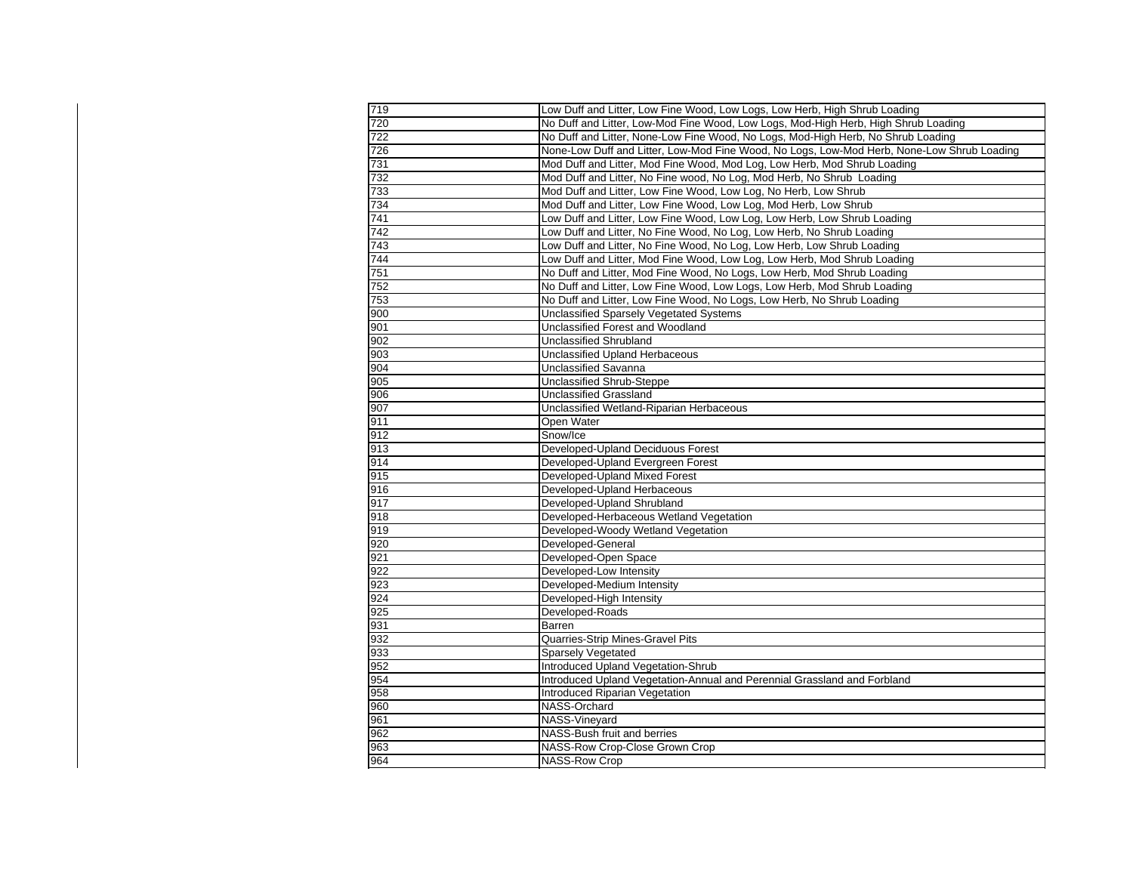| 719 | Low Duff and Litter, Low Fine Wood, Low Logs, Low Herb, High Shrub Loading                 |
|-----|--------------------------------------------------------------------------------------------|
| 720 | No Duff and Litter, Low-Mod Fine Wood, Low Logs, Mod-High Herb, High Shrub Loading         |
| 722 | No Duff and Litter, None-Low Fine Wood, No Logs, Mod-High Herb, No Shrub Loading           |
| 726 | None-Low Duff and Litter, Low-Mod Fine Wood, No Logs, Low-Mod Herb, None-Low Shrub Loading |
| 731 | Mod Duff and Litter, Mod Fine Wood, Mod Log, Low Herb, Mod Shrub Loading                   |
| 732 | Mod Duff and Litter, No Fine wood, No Log, Mod Herb, No Shrub Loading                      |
| 733 | Mod Duff and Litter, Low Fine Wood, Low Log, No Herb, Low Shrub                            |
| 734 | Mod Duff and Litter, Low Fine Wood, Low Log, Mod Herb, Low Shrub                           |
| 741 | Low Duff and Litter, Low Fine Wood, Low Log, Low Herb, Low Shrub Loading                   |
| 742 | Low Duff and Litter, No Fine Wood, No Log, Low Herb, No Shrub Loading                      |
| 743 | Low Duff and Litter, No Fine Wood, No Log, Low Herb, Low Shrub Loading                     |
| 744 | Low Duff and Litter, Mod Fine Wood, Low Log, Low Herb, Mod Shrub Loading                   |
| 751 | No Duff and Litter, Mod Fine Wood, No Logs, Low Herb, Mod Shrub Loading                    |
| 752 | No Duff and Litter, Low Fine Wood, Low Logs, Low Herb, Mod Shrub Loading                   |
| 753 | No Duff and Litter, Low Fine Wood, No Logs, Low Herb, No Shrub Loading                     |
| 900 | <b>Unclassified Sparsely Vegetated Systems</b>                                             |
| 901 | Unclassified Forest and Woodland                                                           |
| 902 | Unclassified Shrubland                                                                     |
| 903 | Unclassified Upland Herbaceous                                                             |
| 904 | <b>Unclassified Savanna</b>                                                                |
| 905 | Unclassified Shrub-Steppe                                                                  |
| 906 | <b>Unclassified Grassland</b>                                                              |
| 907 | Unclassified Wetland-Riparian Herbaceous                                                   |
| 911 | Open Water                                                                                 |
| 912 | Snow/Ice                                                                                   |
| 913 | Developed-Upland Deciduous Forest                                                          |
| 914 | Developed-Upland Evergreen Forest                                                          |
| 915 | Developed-Upland Mixed Forest                                                              |
| 916 | Developed-Upland Herbaceous                                                                |
| 917 | Developed-Upland Shrubland                                                                 |
| 918 | Developed-Herbaceous Wetland Vegetation                                                    |
| 919 | Developed-Woody Wetland Vegetation                                                         |
| 920 | Developed-General                                                                          |
| 921 | Developed-Open Space                                                                       |
| 922 | Developed-Low Intensity                                                                    |
| 923 | Developed-Medium Intensity                                                                 |
| 924 | Developed-High Intensity                                                                   |
| 925 | Developed-Roads                                                                            |
| 931 | Barren                                                                                     |
| 932 | Quarries-Strip Mines-Gravel Pits                                                           |
| 933 | <b>Sparsely Vegetated</b>                                                                  |
| 952 | Introduced Upland Vegetation-Shrub                                                         |
| 954 | Introduced Upland Vegetation-Annual and Perennial Grassland and Forbland                   |
| 958 | Introduced Riparian Vegetation                                                             |
| 960 | NASS-Orchard                                                                               |
| 961 | NASS-Vineyard                                                                              |
| 962 | NASS-Bush fruit and berries                                                                |
| 963 | NASS-Row Crop-Close Grown Crop                                                             |
| 964 | <b>NASS-Row Crop</b>                                                                       |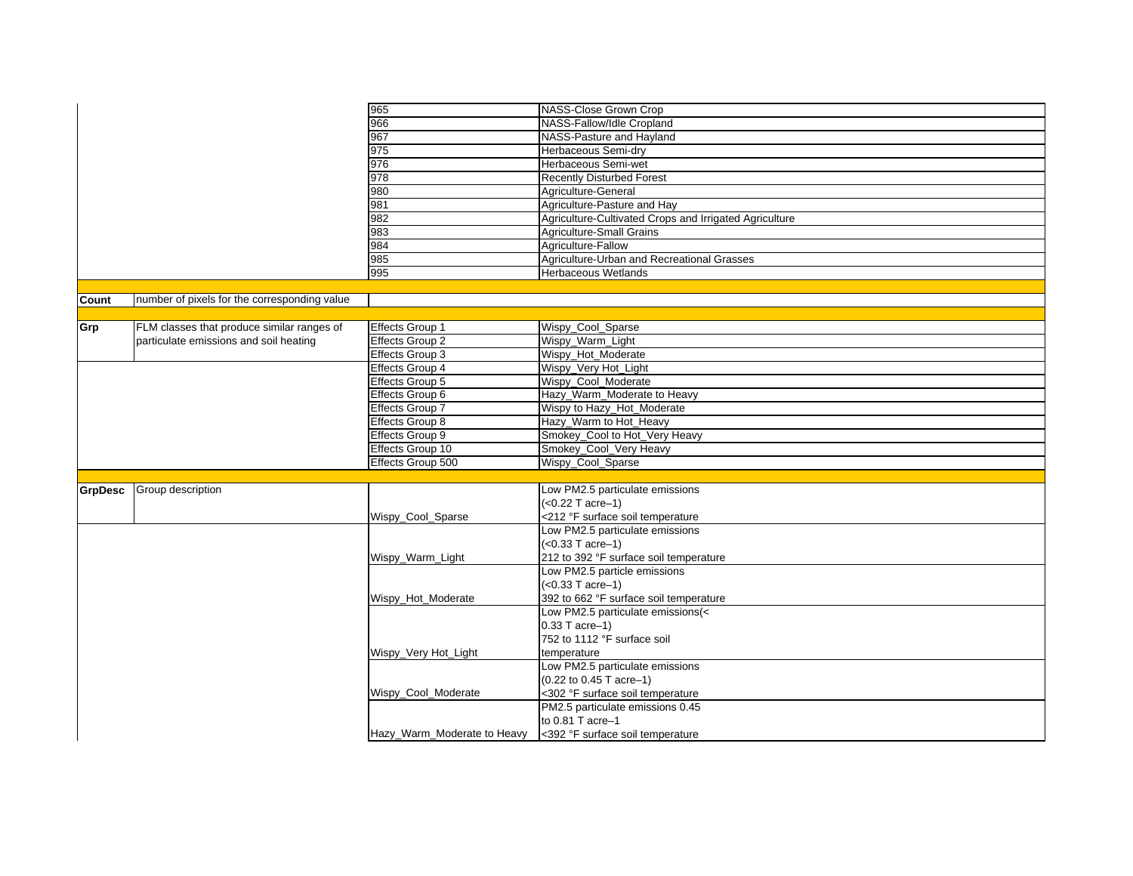|                |                                              | 965                         | NASS-Close Grown Crop                                  |
|----------------|----------------------------------------------|-----------------------------|--------------------------------------------------------|
|                |                                              | 966                         | NASS-Fallow/Idle Cropland                              |
|                |                                              | 967                         | NASS-Pasture and Hayland                               |
|                |                                              | 975                         | Herbaceous Semi-dry                                    |
|                |                                              | 976                         | Herbaceous Semi-wet                                    |
|                |                                              | 978                         | <b>Recently Disturbed Forest</b>                       |
|                |                                              | 980                         | Agriculture-General                                    |
|                |                                              | 981                         | Agriculture-Pasture and Hav                            |
|                |                                              | 982                         | Agriculture-Cultivated Crops and Irrigated Agriculture |
|                |                                              | 983                         | <b>Agriculture-Small Grains</b>                        |
|                |                                              | 984                         | Agriculture-Fallow                                     |
|                |                                              | 985                         | Agriculture-Urban and Recreational Grasses             |
|                |                                              | 995                         | <b>Herbaceous Wetlands</b>                             |
|                |                                              |                             |                                                        |
| Count          | number of pixels for the corresponding value |                             |                                                        |
|                |                                              |                             |                                                        |
| Grp            | FLM classes that produce similar ranges of   | <b>Effects Group 1</b>      | Wispy_Cool_Sparse                                      |
|                | particulate emissions and soil heating       | <b>Effects Group 2</b>      | Wispy_Warm_Light                                       |
|                |                                              | Effects Group 3             | Wispy_Hot_Moderate                                     |
|                |                                              | Effects Group 4             |                                                        |
|                |                                              |                             | Wispy_Very Hot_Light                                   |
|                |                                              | <b>Effects Group 5</b>      | Wispy_Cool_Moderate                                    |
|                |                                              | Effects Group 6             | Hazy_Warm_Moderate to Heavy                            |
|                |                                              | Effects Group 7             | Wispy to Hazy_Hot_Moderate                             |
|                |                                              | Effects Group 8             | Hazy_Warm to Hot_Heavy                                 |
|                |                                              | Effects Group 9             | Smokey_Cool to Hot_Very Heavy                          |
|                |                                              | Effects Group 10            | Smokey_Cool_Very Heavy                                 |
|                |                                              | Effects Group 500           | Wispy_Cool_Sparse                                      |
|                |                                              |                             |                                                        |
| <b>GrpDesc</b> | Group description                            |                             | Low PM2.5 particulate emissions                        |
|                |                                              |                             | $(<0.22$ T acre-1)                                     |
|                |                                              | Wispy_Cool_Sparse           | <212 °F surface soil temperature                       |
|                |                                              |                             | Low PM2.5 particulate emissions                        |
|                |                                              |                             | $(<0.33$ T acre-1)                                     |
|                |                                              | Wispy_Warm_Light            | 212 to 392 °F surface soil temperature                 |
|                |                                              |                             | Low PM2.5 particle emissions                           |
|                |                                              |                             | $(<0.33$ T acre-1)                                     |
|                |                                              | Wispy_Hot_Moderate          | 392 to 662 °F surface soil temperature                 |
|                |                                              |                             | Low PM2.5 particulate emissions(<                      |
|                |                                              |                             | $0.33$ T acre-1)                                       |
|                |                                              |                             | 752 to 1112 °F surface soil                            |
|                |                                              | Wispy_Very Hot_Light        | temperature                                            |
|                |                                              |                             | Low PM2.5 particulate emissions                        |
|                |                                              |                             | (0.22 to 0.45 T acre-1)                                |
|                |                                              | Wispy_Cool_Moderate         | <302 °F surface soil temperature                       |
|                |                                              |                             | PM2.5 particulate emissions 0.45                       |
|                |                                              |                             | to 0.81 T acre-1                                       |
|                |                                              | Hazy_Warm_Moderate to Heavy | <392 °F surface soil temperature                       |
|                |                                              |                             |                                                        |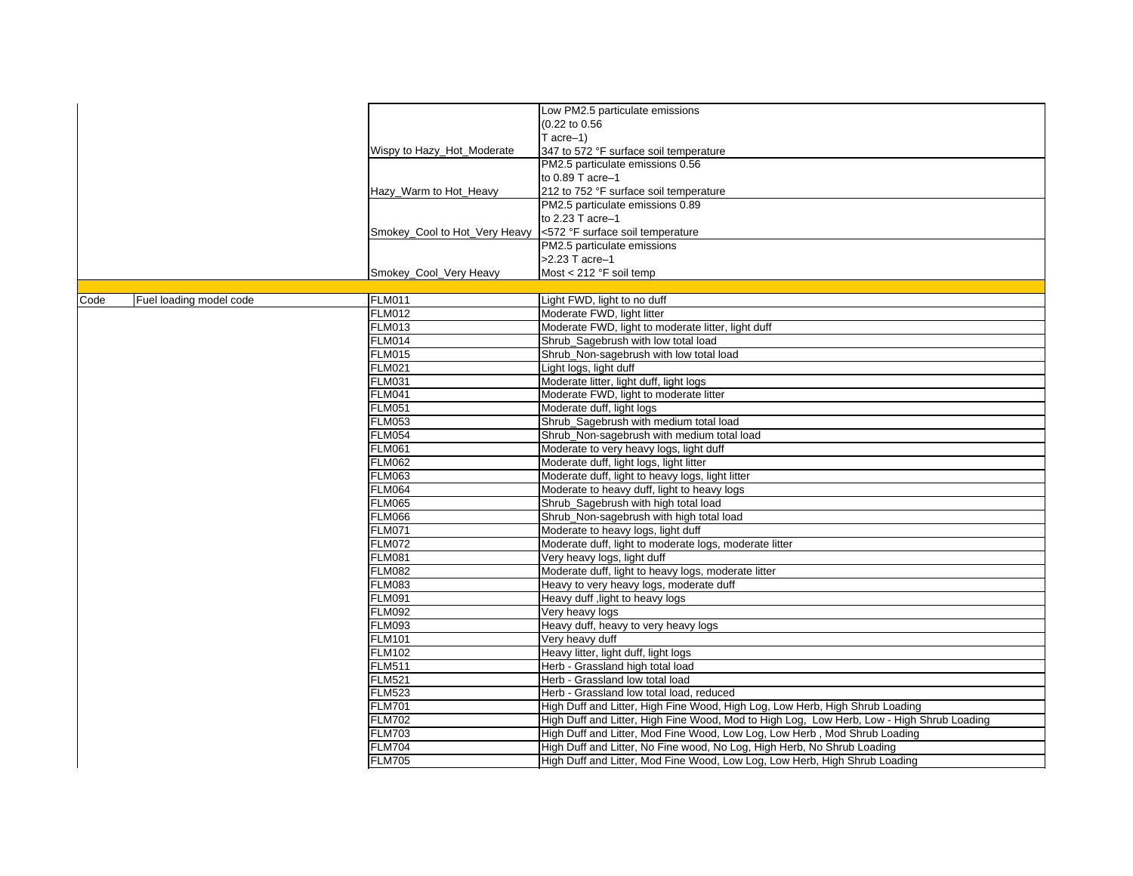|      |                         |                                | Low PM2.5 particulate emissions                                                           |
|------|-------------------------|--------------------------------|-------------------------------------------------------------------------------------------|
|      |                         |                                | (0.22 to 0.56                                                                             |
|      |                         |                                | T $acre-1$ )                                                                              |
|      |                         | Wispy to Hazy_Hot_Moderate     | 347 to 572 °F surface soil temperature                                                    |
|      |                         |                                | PM2.5 particulate emissions 0.56                                                          |
|      |                         |                                | to $0.89$ T acre-1                                                                        |
|      |                         | Hazy_Warm to Hot_Heavy         | 212 to 752 °F surface soil temperature                                                    |
|      |                         |                                | PM2.5 particulate emissions 0.89                                                          |
|      |                         |                                | to 2.23 T acre-1                                                                          |
|      |                         | Smokey_Cool to Hot_Very Heavy  | <572 °F surface soil temperature                                                          |
|      |                         |                                | PM2.5 particulate emissions                                                               |
|      |                         |                                | >2.23 T acre-1                                                                            |
|      |                         | Smokey Cool Very Heavy         | Most $<$ 212 °F soil temp                                                                 |
|      |                         |                                |                                                                                           |
| Code | Fuel loading model code | <b>FLM011</b>                  | Light FWD, light to no duff                                                               |
|      |                         | <b>FLM012</b>                  | Moderate FWD, light litter                                                                |
|      |                         | <b>FLM013</b>                  | Moderate FWD, light to moderate litter, light duff                                        |
|      |                         | <b>FLM014</b>                  | Shrub Sagebrush with low total load                                                       |
|      |                         | <b>FLM015</b>                  | Shrub Non-sagebrush with low total load                                                   |
|      |                         | <b>FLM021</b>                  | Light logs, light duff                                                                    |
|      |                         | <b>FLM031</b>                  | Moderate litter, light duff, light logs                                                   |
|      |                         | <b>FLM041</b>                  | Moderate FWD, light to moderate litter                                                    |
|      |                         | <b>FLM051</b>                  | Moderate duff, light logs                                                                 |
|      |                         | <b>FLM053</b>                  | Shrub_Sagebrush with medium total load                                                    |
|      |                         | <b>FLM054</b>                  | Shrub_Non-sagebrush with medium total load                                                |
|      |                         | <b>FLM061</b>                  | Moderate to very heavy logs, light duff                                                   |
|      |                         | <b>FLM062</b>                  | Moderate duff, light logs, light litter                                                   |
|      |                         | <b>FLM063</b>                  | Moderate duff, light to heavy logs, light litter                                          |
|      |                         | <b>FLM064</b>                  | Moderate to heavy duff, light to heavy logs                                               |
|      |                         | <b>FLM065</b>                  | Shrub_Sagebrush with high total load                                                      |
|      |                         | <b>FLM066</b>                  | Shrub_Non-sagebrush with high total load                                                  |
|      |                         | <b>FLM071</b><br><b>FLM072</b> | Moderate to heavy logs, light duff                                                        |
|      |                         | <b>FLM081</b>                  | Moderate duff, light to moderate logs, moderate litter                                    |
|      |                         | <b>FLM082</b>                  | Very heavy logs, light duff<br>Moderate duff, light to heavy logs, moderate litter        |
|      |                         | <b>FLM083</b>                  | Heavy to very heavy logs, moderate duff                                                   |
|      |                         | <b>FLM091</b>                  | Heavy duff, light to heavy logs                                                           |
|      |                         | <b>FLM092</b>                  | Very heavy logs                                                                           |
|      |                         | <b>FLM093</b>                  | Heavy duff, heavy to very heavy logs                                                      |
|      |                         | <b>FLM101</b>                  | Very heavy duff                                                                           |
|      |                         | <b>FLM102</b>                  | Heavy litter, light duff, light logs                                                      |
|      |                         | <b>FLM511</b>                  | Herb - Grassland high total load                                                          |
|      |                         | <b>FLM521</b>                  | Herb - Grassland low total load                                                           |
|      |                         | <b>FLM523</b>                  | Herb - Grassland low total load, reduced                                                  |
|      |                         | <b>FLM701</b>                  | High Duff and Litter, High Fine Wood, High Log, Low Herb, High Shrub Loading              |
|      |                         | <b>FLM702</b>                  | High Duff and Litter, High Fine Wood, Mod to High Log, Low Herb, Low - High Shrub Loading |
|      |                         | <b>FLM703</b>                  | High Duff and Litter, Mod Fine Wood, Low Log, Low Herb, Mod Shrub Loading                 |
|      |                         | <b>FLM704</b>                  | High Duff and Litter, No Fine wood, No Log, High Herb, No Shrub Loading                   |
|      |                         | <b>FLM705</b>                  | High Duff and Litter, Mod Fine Wood, Low Log, Low Herb, High Shrub Loading                |
|      |                         |                                |                                                                                           |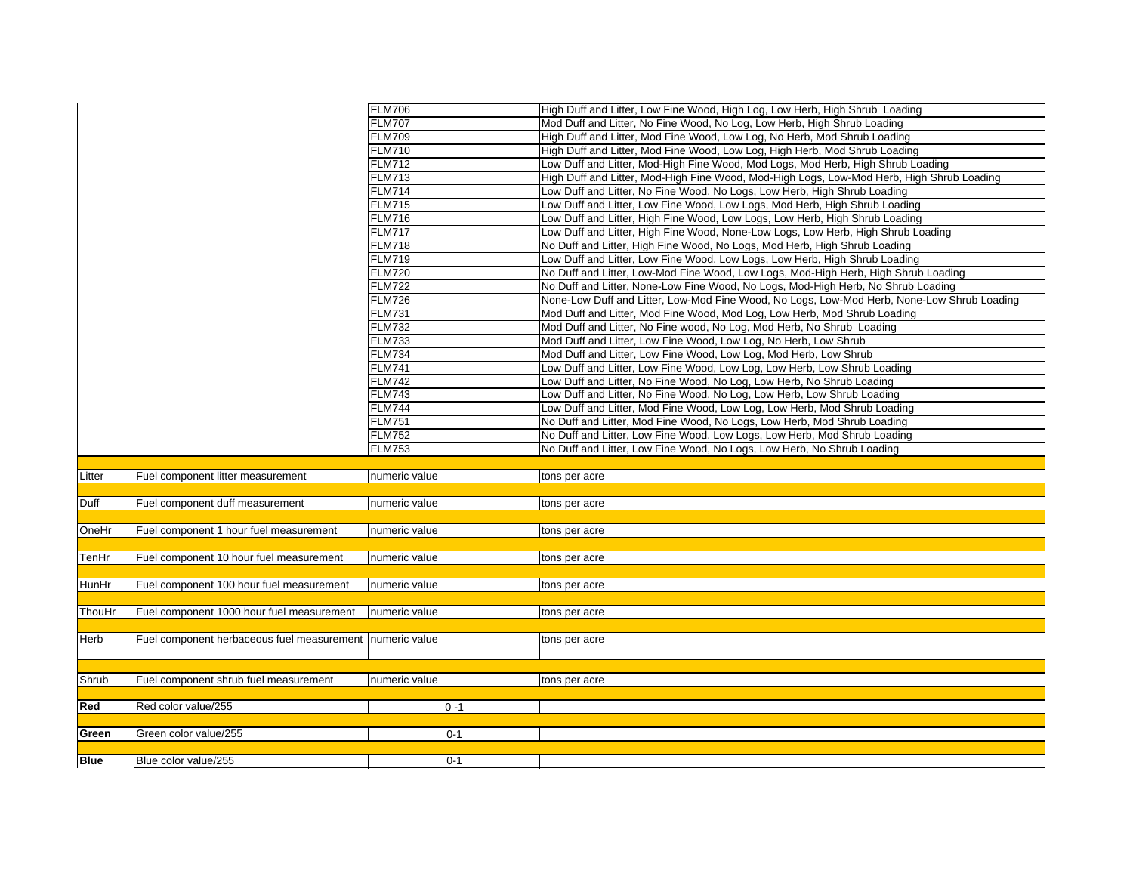|             |                                                          | <b>FLM706</b> | High Duff and Litter, Low Fine Wood, High Log, Low Herb, High Shrub Loading                |
|-------------|----------------------------------------------------------|---------------|--------------------------------------------------------------------------------------------|
|             |                                                          | <b>FLM707</b> | Mod Duff and Litter, No Fine Wood, No Log, Low Herb, High Shrub Loading                    |
|             |                                                          | <b>FLM709</b> | High Duff and Litter, Mod Fine Wood, Low Log, No Herb, Mod Shrub Loading                   |
|             |                                                          | <b>FLM710</b> | High Duff and Litter, Mod Fine Wood, Low Log, High Herb, Mod Shrub Loading                 |
|             |                                                          | <b>FLM712</b> | Low Duff and Litter, Mod-High Fine Wood, Mod Logs, Mod Herb, High Shrub Loading            |
|             |                                                          | <b>FLM713</b> | High Duff and Litter, Mod-High Fine Wood, Mod-High Logs, Low-Mod Herb, High Shrub Loading  |
|             |                                                          | <b>FLM714</b> | Low Duff and Litter, No Fine Wood, No Logs, Low Herb, High Shrub Loading                   |
|             |                                                          | <b>FLM715</b> | Low Duff and Litter, Low Fine Wood, Low Logs, Mod Herb, High Shrub Loading                 |
|             |                                                          | <b>FLM716</b> | Low Duff and Litter, High Fine Wood, Low Logs, Low Herb, High Shrub Loading                |
|             |                                                          | <b>FLM717</b> | Low Duff and Litter, High Fine Wood, None-Low Logs, Low Herb, High Shrub Loading           |
|             |                                                          | <b>FLM718</b> | No Duff and Litter, High Fine Wood, No Logs, Mod Herb, High Shrub Loading                  |
|             |                                                          | <b>FLM719</b> | Low Duff and Litter, Low Fine Wood, Low Logs, Low Herb, High Shrub Loading                 |
|             |                                                          | <b>FLM720</b> | No Duff and Litter, Low-Mod Fine Wood, Low Logs, Mod-High Herb, High Shrub Loading         |
|             |                                                          | <b>FLM722</b> | No Duff and Litter, None-Low Fine Wood, No Logs, Mod-High Herb, No Shrub Loading           |
|             |                                                          | <b>FLM726</b> | None-Low Duff and Litter, Low-Mod Fine Wood, No Logs, Low-Mod Herb, None-Low Shrub Loading |
|             |                                                          | <b>FLM731</b> | Mod Duff and Litter, Mod Fine Wood, Mod Log, Low Herb, Mod Shrub Loading                   |
|             |                                                          | <b>FLM732</b> | Mod Duff and Litter, No Fine wood, No Log, Mod Herb, No Shrub Loading                      |
|             |                                                          | <b>FLM733</b> | Mod Duff and Litter, Low Fine Wood, Low Log, No Herb, Low Shrub                            |
|             |                                                          | <b>FLM734</b> | Mod Duff and Litter, Low Fine Wood, Low Log, Mod Herb, Low Shrub                           |
|             |                                                          | <b>FLM741</b> | Low Duff and Litter, Low Fine Wood, Low Log, Low Herb, Low Shrub Loading                   |
|             |                                                          | <b>FLM742</b> | Low Duff and Litter, No Fine Wood, No Log, Low Herb, No Shrub Loading                      |
|             |                                                          | <b>FLM743</b> | Low Duff and Litter, No Fine Wood, No Log, Low Herb, Low Shrub Loading                     |
|             |                                                          | <b>FLM744</b> | Low Duff and Litter, Mod Fine Wood, Low Log, Low Herb, Mod Shrub Loading                   |
|             |                                                          | <b>FLM751</b> | No Duff and Litter, Mod Fine Wood, No Logs, Low Herb, Mod Shrub Loading                    |
|             |                                                          | <b>FLM752</b> | No Duff and Litter, Low Fine Wood, Low Logs, Low Herb, Mod Shrub Loading                   |
|             |                                                          | <b>FLM753</b> | No Duff and Litter, Low Fine Wood, No Logs, Low Herb, No Shrub Loading                     |
|             |                                                          |               |                                                                                            |
| Litter      | Fuel component litter measurement                        | numeric value | tons per acre                                                                              |
|             |                                                          |               |                                                                                            |
| Duff        | Fuel component duff measurement                          | numeric value | tons per acre                                                                              |
|             |                                                          |               |                                                                                            |
| OneHr       | Fuel component 1 hour fuel measurement                   | numeric value | tons per acre                                                                              |
|             |                                                          |               |                                                                                            |
| TenHr       | Fuel component 10 hour fuel measurement                  | numeric value | tons per acre                                                                              |
|             |                                                          |               |                                                                                            |
| HunHr       | Fuel component 100 hour fuel measurement                 | numeric value | tons per acre                                                                              |
|             |                                                          |               |                                                                                            |
| ThouHr      | Fuel component 1000 hour fuel measurement                | numeric value | tons per acre                                                                              |
|             |                                                          |               |                                                                                            |
| Herb        | Fuel component herbaceous fuel measurement numeric value |               | tons per acre                                                                              |
|             |                                                          |               |                                                                                            |
|             |                                                          |               |                                                                                            |
| Shrub       | Fuel component shrub fuel measurement                    | numeric value | tons per acre                                                                              |
|             |                                                          |               |                                                                                            |
| Red         | Red color value/255                                      | $0 - 1$       |                                                                                            |
|             |                                                          |               |                                                                                            |
| Green       | Green color value/255                                    | $0 - 1$       |                                                                                            |
|             |                                                          |               |                                                                                            |
| <b>Blue</b> | Blue color value/255                                     | $0 - 1$       |                                                                                            |